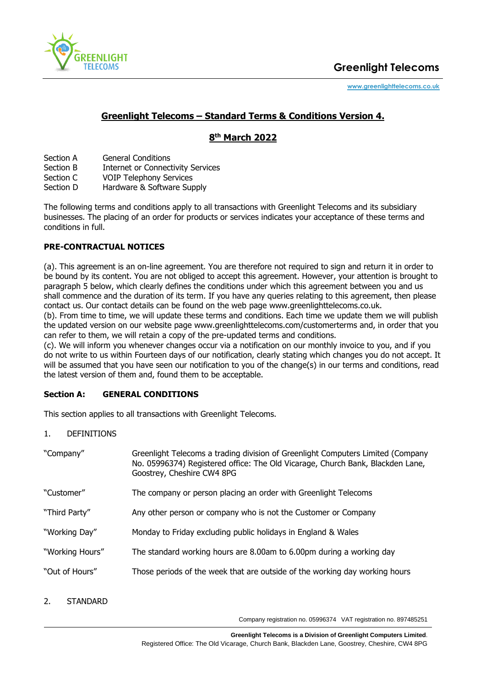

# **Greenlight Telecoms – Standard Terms & Conditions Version 4.**

# **8 th March 2022**

- Section A General Conditions
- Section B Internet or Connectivity Services
- Section C VOIP Telephony Services
- Section D Hardware & Software Supply

The following terms and conditions apply to all transactions with Greenlight Telecoms and its subsidiary businesses. The placing of an order for products or services indicates your acceptance of these terms and conditions in full.

## **PRE-CONTRACTUAL NOTICES**

(a). This agreement is an on-line agreement. You are therefore not required to sign and return it in order to be bound by its content. You are not obliged to accept this agreement. However, your attention is brought to paragraph 5 below, which clearly defines the conditions under which this agreement between you and us shall commence and the duration of its term. If you have any queries relating to this agreement, then please contact us. Our contact details can be found on the web page www.greenlighttelecoms.co.uk.

(b). From time to time, we will update these terms and conditions. Each time we update them we will publish the updated version on our website page www.greenlighttelecoms.com/customerterms and, in order that you can refer to them, we will retain a copy of the pre-updated terms and conditions.

(c). We will inform you whenever changes occur via a notification on our monthly invoice to you, and if you do not write to us within Fourteen days of our notification, clearly stating which changes you do not accept. It will be assumed that you have seen our notification to you of the change(s) in our terms and conditions, read the latest version of them and, found them to be acceptable.

# **Section A: GENERAL CONDITIONS**

This section applies to all transactions with Greenlight Telecoms.

1. DEFINITIONS

| "Company"       | Greenlight Telecoms a trading division of Greenlight Computers Limited (Company<br>No. 05996374) Registered office: The Old Vicarage, Church Bank, Blackden Lane,<br>Goostrey, Cheshire CW4 8PG |
|-----------------|-------------------------------------------------------------------------------------------------------------------------------------------------------------------------------------------------|
| "Customer"      | The company or person placing an order with Greenlight Telecoms                                                                                                                                 |
| "Third Party"   | Any other person or company who is not the Customer or Company                                                                                                                                  |
| "Working Day"   | Monday to Friday excluding public holidays in England & Wales                                                                                                                                   |
| "Working Hours" | The standard working hours are 8.00am to 6.00pm during a working day                                                                                                                            |
| "Out of Hours"  | Those periods of the week that are outside of the working day working hours                                                                                                                     |

2. STANDARD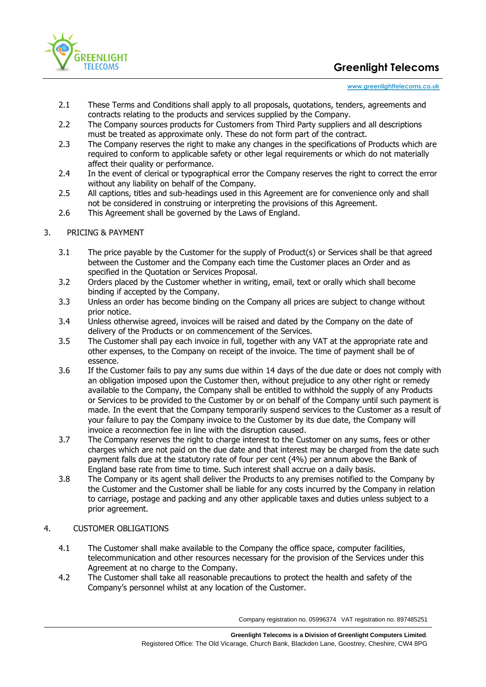

#### **[www.greenlighttelecoms.co.uk](http://www.greenlighttelecoms.co.uk/)**

- 2.1 These Terms and Conditions shall apply to all proposals, quotations, tenders, agreements and contracts relating to the products and services supplied by the Company.
- 2.2 The Company sources products for Customers from Third Party suppliers and all descriptions must be treated as approximate only. These do not form part of the contract.
- 2.3 The Company reserves the right to make any changes in the specifications of Products which are required to conform to applicable safety or other legal requirements or which do not materially affect their quality or performance.
- 2.4 In the event of clerical or typographical error the Company reserves the right to correct the error without any liability on behalf of the Company.
- 2.5 All captions, titles and sub-headings used in this Agreement are for convenience only and shall not be considered in construing or interpreting the provisions of this Agreement.
- 2.6 This Agreement shall be governed by the Laws of England.
- 3. PRICING & PAYMENT
	- 3.1 The price payable by the Customer for the supply of Product(s) or Services shall be that agreed between the Customer and the Company each time the Customer places an Order and as specified in the Quotation or Services Proposal.
	- 3.2 Orders placed by the Customer whether in writing, email, text or orally which shall become binding if accepted by the Company.
	- 3.3 Unless an order has become binding on the Company all prices are subject to change without prior notice.
	- 3.4 Unless otherwise agreed, invoices will be raised and dated by the Company on the date of delivery of the Products or on commencement of the Services.
	- 3.5 The Customer shall pay each invoice in full, together with any VAT at the appropriate rate and other expenses, to the Company on receipt of the invoice. The time of payment shall be of essence.
	- 3.6 If the Customer fails to pay any sums due within 14 days of the due date or does not comply with an obligation imposed upon the Customer then, without prejudice to any other right or remedy available to the Company, the Company shall be entitled to withhold the supply of any Products or Services to be provided to the Customer by or on behalf of the Company until such payment is made. In the event that the Company temporarily suspend services to the Customer as a result of your failure to pay the Company invoice to the Customer by its due date, the Company will invoice a reconnection fee in line with the disruption caused.
	- 3.7 The Company reserves the right to charge interest to the Customer on any sums, fees or other charges which are not paid on the due date and that interest may be charged from the date such payment falls due at the statutory rate of four per cent (4%) per annum above the Bank of England base rate from time to time. Such interest shall accrue on a daily basis.
	- 3.8 The Company or its agent shall deliver the Products to any premises notified to the Company by the Customer and the Customer shall be liable for any costs incurred by the Company in relation to carriage, postage and packing and any other applicable taxes and duties unless subject to a prior agreement.

## 4. CUSTOMER OBLIGATIONS

- 4.1 The Customer shall make available to the Company the office space, computer facilities, telecommunication and other resources necessary for the provision of the Services under this Agreement at no charge to the Company.
- 4.2 The Customer shall take all reasonable precautions to protect the health and safety of the Company's personnel whilst at any location of the Customer.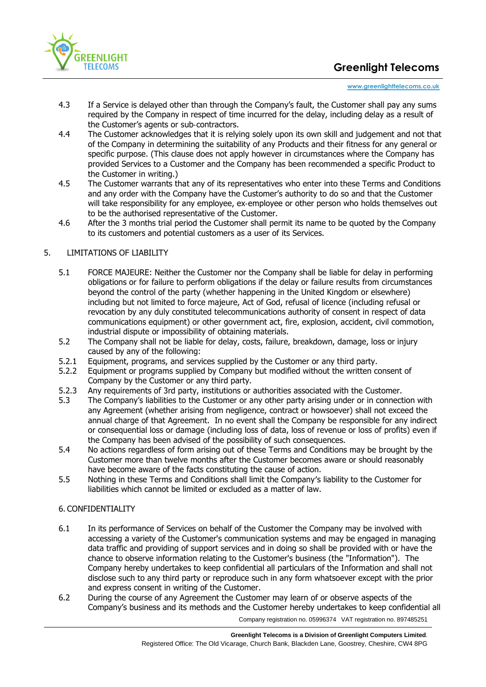

#### **[www.greenlighttelecoms.co.uk](http://www.greenlighttelecoms.co.uk/)**

- 4.3 If a Service is delayed other than through the Company's fault, the Customer shall pay any sums required by the Company in respect of time incurred for the delay, including delay as a result of the Customer's agents or sub‐contractors.
- 4.4 The Customer acknowledges that it is relying solely upon its own skill and judgement and not that of the Company in determining the suitability of any Products and their fitness for any general or specific purpose. (This clause does not apply however in circumstances where the Company has provided Services to a Customer and the Company has been recommended a specific Product to the Customer in writing.)
- 4.5 The Customer warrants that any of its representatives who enter into these Terms and Conditions and any order with the Company have the Customer's authority to do so and that the Customer will take responsibility for any employee, ex-employee or other person who holds themselves out to be the authorised representative of the Customer.
- 4.6 After the 3 months trial period the Customer shall permit its name to be quoted by the Company to its customers and potential customers as a user of its Services.

## 5. LIMITATIONS OF LIABILITY

- 5.1 FORCE MAJEURE: Neither the Customer nor the Company shall be liable for delay in performing obligations or for failure to perform obligations if the delay or failure results from circumstances beyond the control of the party (whether happening in the United Kingdom or elsewhere) including but not limited to force majeure, Act of God, refusal of licence (including refusal or revocation by any duly constituted telecommunications authority of consent in respect of data communications equipment) or other government act, fire, explosion, accident, civil commotion, industrial dispute or impossibility of obtaining materials.
- 5.2 The Company shall not be liable for delay, costs, failure, breakdown, damage, loss or injury caused by any of the following:
- 5.2.1 Equipment, programs, and services supplied by the Customer or any third party.
- 5.2.2 Equipment or programs supplied by Company but modified without the written consent of Company by the Customer or any third party.
- 5.2.3 Any requirements of 3rd party, institutions or authorities associated with the Customer.
- 5.3 The Company's liabilities to the Customer or any other party arising under or in connection with any Agreement (whether arising from negligence, contract or howsoever) shall not exceed the annual charge of that Agreement. In no event shall the Company be responsible for any indirect or consequential loss or damage (including loss of data, loss of revenue or loss of profits) even if the Company has been advised of the possibility of such consequences.
- 5.4 No actions regardless of form arising out of these Terms and Conditions may be brought by the Customer more than twelve months after the Customer becomes aware or should reasonably have become aware of the facts constituting the cause of action.
- 5.5 Nothing in these Terms and Conditions shall limit the Companyʹs liability to the Customer for liabilities which cannot be limited or excluded as a matter of law.

### 6. CONFIDENTIALITY

- 6.1 In its performance of Services on behalf of the Customer the Company may be involved with accessing a variety of the Customer's communication systems and may be engaged in managing data traffic and providing of support services and in doing so shall be provided with or have the chance to observe information relating to the Customer's business (the "Information"). The Company hereby undertakes to keep confidential all particulars of the Information and shall not disclose such to any third party or reproduce such in any form whatsoever except with the prior and express consent in writing of the Customer.
- 6.2 During the course of any Agreement the Customer may learn of or observe aspects of the Company's business and its methods and the Customer hereby undertakes to keep confidential all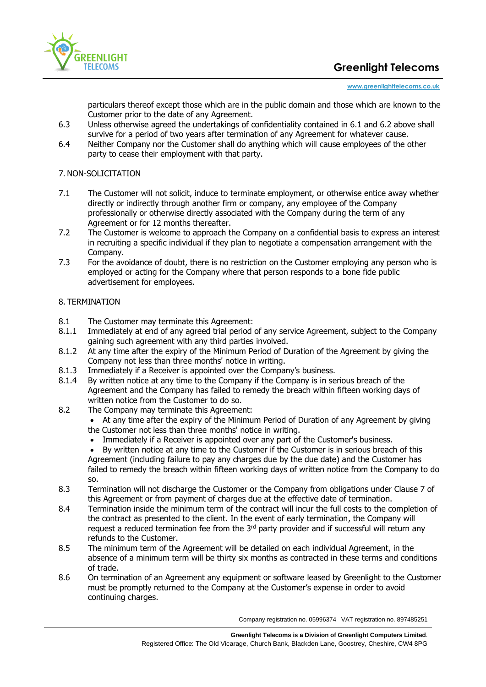

#### **[www.greenlighttelecoms.co.uk](http://www.greenlighttelecoms.co.uk/)**

particulars thereof except those which are in the public domain and those which are known to the Customer prior to the date of any Agreement.

- 6.3 Unless otherwise agreed the undertakings of confidentiality contained in 6.1 and 6.2 above shall survive for a period of two years after termination of any Agreement for whatever cause.
- 6.4 Neither Company nor the Customer shall do anything which will cause employees of the other party to cease their employment with that party.

## 7. NON-SOLICITATION

- 7.1 The Customer will not solicit, induce to terminate employment, or otherwise entice away whether directly or indirectly through another firm or company, any employee of the Company professionally or otherwise directly associated with the Company during the term of any Agreement or for 12 months thereafter.
- 7.2 The Customer is welcome to approach the Company on a confidential basis to express an interest in recruiting a specific individual if they plan to negotiate a compensation arrangement with the Company.
- 7.3 For the avoidance of doubt, there is no restriction on the Customer employing any person who is employed or acting for the Company where that person responds to a bone fide public advertisement for employees.

# 8. TERMINATION

- 8.1 The Customer may terminate this Agreement:
- 8.1.1 Immediately at end of any agreed trial period of any service Agreement, subject to the Company gaining such agreement with any third parties involved.
- 8.1.2 At any time after the expiry of the Minimum Period of Duration of the Agreement by giving the Company not less than three months' notice in writing.
- 8.1.3 Immediately if a Receiver is appointed over the Company's business.
- 8.1.4 By written notice at any time to the Company if the Company is in serious breach of the Agreement and the Company has failed to remedy the breach within fifteen working days of written notice from the Customer to do so.
- 8.2 The Company may terminate this Agreement:
	- At any time after the expiry of the Minimum Period of Duration of any Agreement by giving the Customer not less than three months' notice in writing.
	- Immediately if a Receiver is appointed over any part of the Customer's business.
	- By written notice at any time to the Customer if the Customer is in serious breach of this Agreement (including failure to pay any charges due by the due date) and the Customer has failed to remedy the breach within fifteen working days of written notice from the Company to do so.
- 8.3 Termination will not discharge the Customer or the Company from obligations under Clause 7 of this Agreement or from payment of charges due at the effective date of termination.
- 8.4 Termination inside the minimum term of the contract will incur the full costs to the completion of the contract as presented to the client. In the event of early termination, the Company will request a reduced termination fee from the 3<sup>rd</sup> party provider and if successful will return anv refunds to the Customer.
- 8.5 The minimum term of the Agreement will be detailed on each individual Agreement, in the absence of a minimum term will be thirty six months as contracted in these terms and conditions of trade.
- 8.6 On termination of an Agreement any equipment or software leased by Greenlight to the Customer must be promptly returned to the Company at the Customer's expense in order to avoid continuing charges.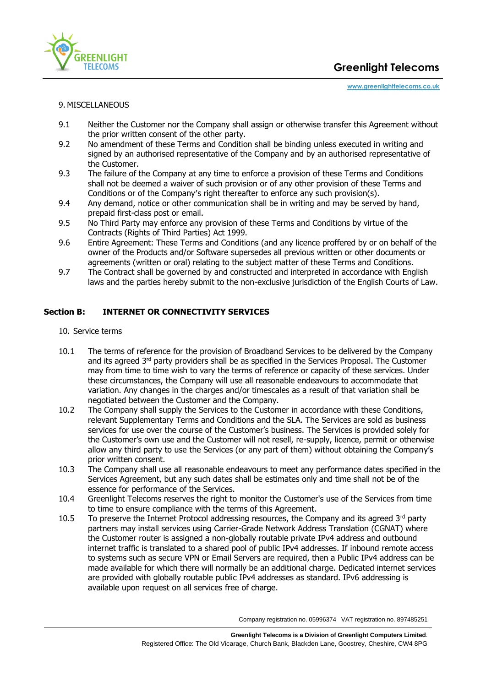

### 9. MISCELLANEOUS

- 9.1 Neither the Customer nor the Company shall assign or otherwise transfer this Agreement without the prior written consent of the other party.
- 9.2 No amendment of these Terms and Condition shall be binding unless executed in writing and signed by an authorised representative of the Company and by an authorised representative of the Customer.
- 9.3 The failure of the Company at any time to enforce a provision of these Terms and Conditions shall not be deemed a waiver of such provision or of any other provision of these Terms and Conditions or of the Companyʹs right thereafter to enforce any such provision(s).
- 9.4 Any demand, notice or other communication shall be in writing and may be served by hand, prepaid first-class post or email.
- 9.5 No Third Party may enforce any provision of these Terms and Conditions by virtue of the Contracts (Rights of Third Parties) Act 1999.
- 9.6 Entire Agreement: These Terms and Conditions (and any licence proffered by or on behalf of the owner of the Products and/or Software supersedes all previous written or other documents or agreements (written or oral) relating to the subject matter of these Terms and Conditions.
- 9.7 The Contract shall be governed by and constructed and interpreted in accordance with English laws and the parties hereby submit to the non-exclusive jurisdiction of the English Courts of Law.

### **Section B: INTERNET OR CONNECTIVITY SERVICES**

- 10. Service terms
- 10.1 The terms of reference for the provision of Broadband Services to be delivered by the Company and its agreed 3rd party providers shall be as specified in the Services Proposal. The Customer may from time to time wish to vary the terms of reference or capacity of these services. Under these circumstances, the Company will use all reasonable endeavours to accommodate that variation. Any changes in the charges and/or timescales as a result of that variation shall be negotiated between the Customer and the Company.
- 10.2 The Company shall supply the Services to the Customer in accordance with these Conditions, relevant Supplementary Terms and Conditions and the SLA. The Services are sold as business services for use over the course of the Customer's business. The Services is provided solely for the Customer's own use and the Customer will not resell, re-supply, licence, permit or otherwise allow any third party to use the Services (or any part of them) without obtaining the Company's prior written consent.
- 10.3 The Company shall use all reasonable endeavours to meet any performance dates specified in the Services Agreement, but any such dates shall be estimates only and time shall not be of the essence for performance of the Services.
- 10.4 Greenlight Telecoms reserves the right to monitor the Customer's use of the Services from time to time to ensure compliance with the terms of this Agreement.
- 10.5 To preserve the Internet Protocol addressing resources, the Company and its agreed  $3<sup>rd</sup>$  party partners may install services using Carrier-Grade Network Address Translation (CGNAT) where the Customer router is assigned a non-globally routable private IPv4 address and outbound internet traffic is translated to a shared pool of public IPv4 addresses. If inbound remote access to systems such as secure VPN or Email Servers are required, then a Public IPv4 address can be made available for which there will normally be an additional charge. Dedicated internet services are provided with globally routable public IPv4 addresses as standard. IPv6 addressing is available upon request on all services free of charge.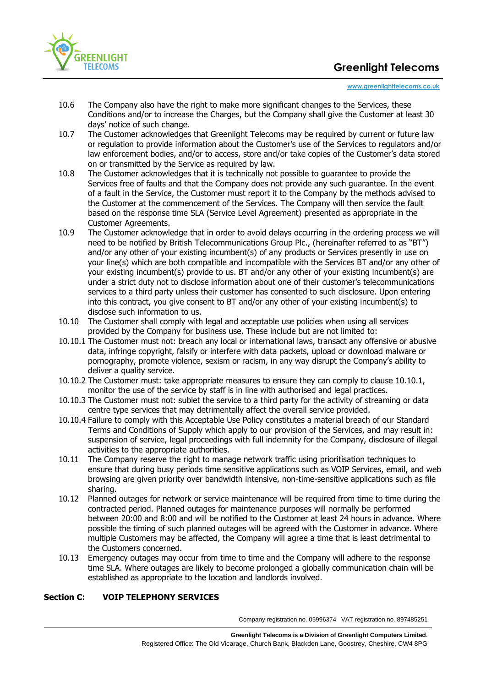

 **[www.greenlighttelecoms.co.uk](http://www.greenlighttelecoms.co.uk/)**

- 10.6 The Company also have the right to make more significant changes to the Services, these Conditions and/or to increase the Charges, but the Company shall give the Customer at least 30 days' notice of such change.
- 10.7 The Customer acknowledges that Greenlight Telecoms may be required by current or future law or regulation to provide information about the Customer's use of the Services to regulators and/or law enforcement bodies, and/or to access, store and/or take copies of the Customer's data stored on or transmitted by the Service as required by law.
- 10.8 The Customer acknowledges that it is technically not possible to guarantee to provide the Services free of faults and that the Company does not provide any such guarantee. In the event of a fault in the Service, the Customer must report it to the Company by the methods advised to the Customer at the commencement of the Services. The Company will then service the fault based on the response time SLA (Service Level Agreement) presented as appropriate in the Customer Agreements.
- 10.9 The Customer acknowledge that in order to avoid delays occurring in the ordering process we will need to be notified by British Telecommunications Group Plc., (hereinafter referred to as "BT") and/or any other of your existing incumbent(s) of any products or Services presently in use on your line(s) which are both compatible and incompatible with the Services BT and/or any other of your existing incumbent(s) provide to us. BT and/or any other of your existing incumbent(s) are under a strict duty not to disclose information about one of their customer's telecommunications services to a third party unless their customer has consented to such disclosure. Upon entering into this contract, you give consent to BT and/or any other of your existing incumbent(s) to disclose such information to us.
- 10.10 The Customer shall comply with legal and acceptable use policies when using all services provided by the Company for business use. These include but are not limited to:
- 10.10.1 The Customer must not: breach any local or international laws, transact any offensive or abusive data, infringe copyright, falsify or interfere with data packets, upload or download malware or pornography, promote violence, sexism or racism, in any way disrupt the Company's ability to deliver a quality service.
- 10.10.2 The Customer must: take appropriate measures to ensure they can comply to clause 10.10.1, monitor the use of the service by staff is in line with authorised and legal practices.
- 10.10.3 The Customer must not: sublet the service to a third party for the activity of streaming or data centre type services that may detrimentally affect the overall service provided.
- 10.10.4 Failure to comply with this Acceptable Use Policy constitutes a material breach of our Standard Terms and Conditions of Supply which apply to our provision of the Services, and may result in: suspension of service, legal proceedings with full indemnity for the Company, disclosure of illegal activities to the appropriate authorities.
- 10.11 The Company reserve the right to manage network traffic using prioritisation techniques to ensure that during busy periods time sensitive applications such as VOIP Services, email, and web browsing are given priority over bandwidth intensive, non-time-sensitive applications such as file sharing.
- 10.12 Planned outages for network or service maintenance will be required from time to time during the contracted period. Planned outages for maintenance purposes will normally be performed between 20:00 and 8:00 and will be notified to the Customer at least 24 hours in advance. Where possible the timing of such planned outages will be agreed with the Customer in advance. Where multiple Customers may be affected, the Company will agree a time that is least detrimental to the Customers concerned.
- 10.13 Emergency outages may occur from time to time and the Company will adhere to the response time SLA. Where outages are likely to become prolonged a globally communication chain will be established as appropriate to the location and landlords involved.

# **Section C: VOIP TELEPHONY SERVICES**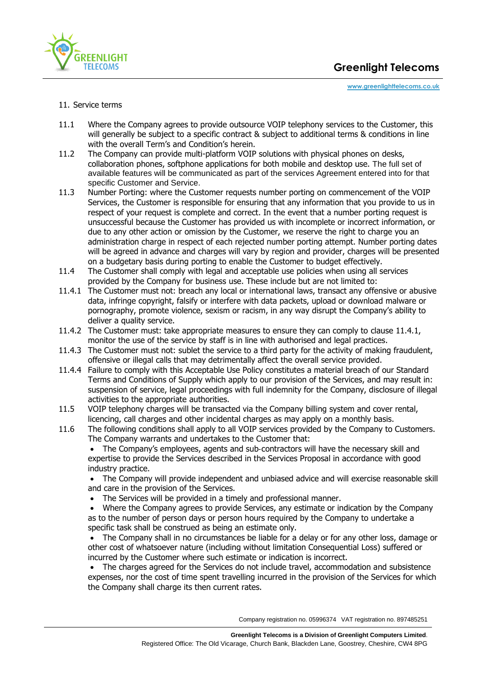

- 11. Service terms
- 11.1 Where the Company agrees to provide outsource VOIP telephony services to the Customer, this will generally be subject to a specific contract & subject to additional terms & conditions in line with the overall Term's and Condition's herein.
- 11.2 The Company can provide multi-platform VOIP solutions with physical phones on desks, collaboration phones, softphone applications for both mobile and desktop use. The full set of available features will be communicated as part of the services Agreement entered into for that specific Customer and Service.
- 11.3 Number Porting: where the Customer requests number porting on commencement of the VOIP Services, the Customer is responsible for ensuring that any information that you provide to us in respect of your request is complete and correct. In the event that a number porting request is unsuccessful because the Customer has provided us with incomplete or incorrect information, or due to any other action or omission by the Customer, we reserve the right to charge you an administration charge in respect of each rejected number porting attempt. Number porting dates will be agreed in advance and charges will vary by region and provider, charges will be presented on a budgetary basis during porting to enable the Customer to budget effectively.
- 11.4 The Customer shall comply with legal and acceptable use policies when using all services provided by the Company for business use. These include but are not limited to:
- 11.4.1 The Customer must not: breach any local or international laws, transact any offensive or abusive data, infringe copyright, falsify or interfere with data packets, upload or download malware or pornography, promote violence, sexism or racism, in any way disrupt the Company's ability to deliver a quality service.
- 11.4.2 The Customer must: take appropriate measures to ensure they can comply to clause 11.4.1, monitor the use of the service by staff is in line with authorised and legal practices.
- 11.4.3 The Customer must not: sublet the service to a third party for the activity of making fraudulent, offensive or illegal calls that may detrimentally affect the overall service provided.
- 11.4.4 Failure to comply with this Acceptable Use Policy constitutes a material breach of our Standard Terms and Conditions of Supply which apply to our provision of the Services, and may result in: suspension of service, legal proceedings with full indemnity for the Company, disclosure of illegal activities to the appropriate authorities.
- 11.5 VOIP telephony charges will be transacted via the Company billing system and cover rental, licencing, call charges and other incidental charges as may apply on a monthly basis.
- 11.6 The following conditions shall apply to all VOIP services provided by the Company to Customers. The Company warrants and undertakes to the Customer that:

• The Company's employees, agents and sub-contractors will have the necessary skill and expertise to provide the Services described in the Services Proposal in accordance with good industry practice.

• The Company will provide independent and unbiased advice and will exercise reasonable skill and care in the provision of the Services.

The Services will be provided in a timely and professional manner.

• Where the Company agrees to provide Services, any estimate or indication by the Company as to the number of person days or person hours required by the Company to undertake a specific task shall be construed as being an estimate only.

• The Company shall in no circumstances be liable for a delay or for any other loss, damage or other cost of whatsoever nature (including without limitation Consequential Loss) suffered or incurred by the Customer where such estimate or indication is incorrect.

• The charges agreed for the Services do not include travel, accommodation and subsistence expenses, nor the cost of time spent travelling incurred in the provision of the Services for which the Company shall charge its then current rates.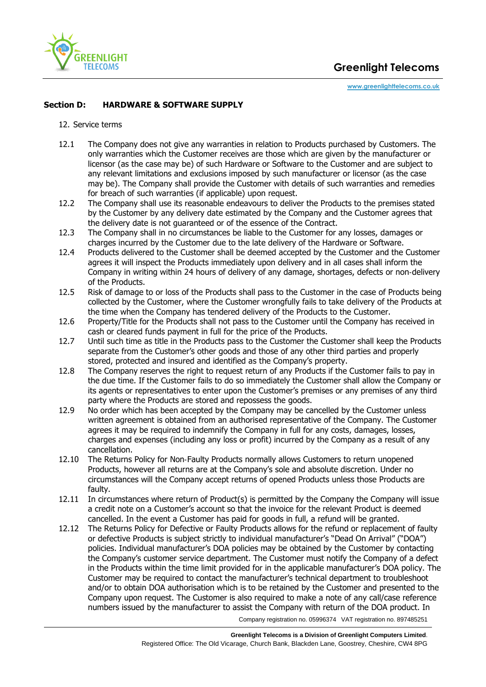

# **Section D: HARDWARE & SOFTWARE SUPPLY**

### 12. Service terms

- 12.1 The Company does not give any warranties in relation to Products purchased by Customers. The only warranties which the Customer receives are those which are given by the manufacturer or licensor (as the case may be) of such Hardware or Software to the Customer and are subject to any relevant limitations and exclusions imposed by such manufacturer or licensor (as the case may be). The Company shall provide the Customer with details of such warranties and remedies for breach of such warranties (if applicable) upon request.
- 12.2 The Company shall use its reasonable endeavours to deliver the Products to the premises stated by the Customer by any delivery date estimated by the Company and the Customer agrees that the delivery date is not guaranteed or of the essence of the Contract.
- 12.3 The Company shall in no circumstances be liable to the Customer for any losses, damages or charges incurred by the Customer due to the late delivery of the Hardware or Software.
- 12.4 Products delivered to the Customer shall be deemed accepted by the Customer and the Customer agrees it will inspect the Products immediately upon delivery and in all cases shall inform the Company in writing within 24 hours of delivery of any damage, shortages, defects or non‐delivery of the Products.
- 12.5 Risk of damage to or loss of the Products shall pass to the Customer in the case of Products being collected by the Customer, where the Customer wrongfully fails to take delivery of the Products at the time when the Company has tendered delivery of the Products to the Customer.
- 12.6 Property/Title for the Products shall not pass to the Customer until the Company has received in cash or cleared funds payment in full for the price of the Products.
- 12.7 Until such time as title in the Products pass to the Customer the Customer shall keep the Products separate from the Customer's other goods and those of any other third parties and properly stored, protected and insured and identified as the Company's property.
- 12.8 The Company reserves the right to request return of any Products if the Customer fails to pay in the due time. If the Customer fails to do so immediately the Customer shall allow the Company or its agents or representatives to enter upon the Customer's premises or any premises of any third party where the Products are stored and repossess the goods.
- 12.9 No order which has been accepted by the Company may be cancelled by the Customer unless written agreement is obtained from an authorised representative of the Company. The Customer agrees it may be required to indemnify the Company in full for any costs, damages, losses, charges and expenses (including any loss or profit) incurred by the Company as a result of any cancellation.
- 12.10 The Returns Policy for Non-Faulty Products normally allows Customers to return unopened Products, however all returns are at the Company's sole and absolute discretion. Under no circumstances will the Company accept returns of opened Products unless those Products are faulty.
- 12.11 In circumstances where return of Product(s) is permitted by the Company the Company will issue a credit note on a Customer's account so that the invoice for the relevant Product is deemed cancelled. In the event a Customer has paid for goods in full, a refund will be granted.
- 12.12 The Returns Policy for Defective or Faulty Products allows for the refund or replacement of faulty or defective Products is subject strictly to individual manufacturer's "Dead On Arrival" ("DOA") policies. Individual manufacturer's DOA policies may be obtained by the Customer by contacting the Company's customer service department. The Customer must notify the Company of a defect in the Products within the time limit provided for in the applicable manufacturer's DOA policy. The Customer may be required to contact the manufacturer's technical department to troubleshoot and/or to obtain DOA authorisation which is to be retained by the Customer and presented to the Company upon request. The Customer is also required to make a note of any call/case reference numbers issued by the manufacturer to assist the Company with return of the DOA product. In